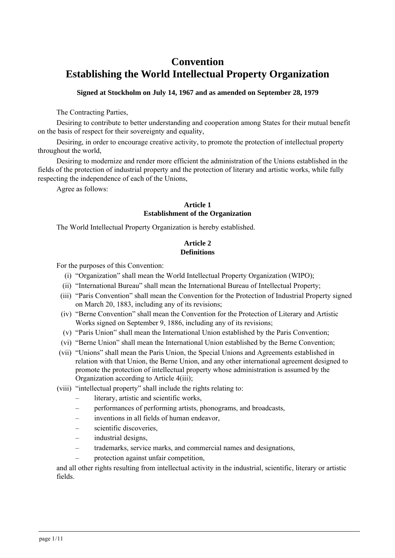# **Convention Establishing the World Intellectual Property Organization**

# **Signed at Stockholm on July 14, 1967 and as amended on September 28, 1979**

The Contracting Parties,

Desiring to contribute to better understanding and cooperation among States for their mutual benefit on the basis of respect for their sovereignty and equality,

Desiring, in order to encourage creative activity, to promote the protection of intellectual property throughout the world,

Desiring to modernize and render more efficient the administration of the Unions established in the fields of the protection of industrial property and the protection of literary and artistic works, while fully respecting the independence of each of the Unions,

Agree as follows:

#### **Article 1 Establishment of the Organization**

The World Intellectual Property Organization is hereby established.

# **Article 2 Definitions**

For the purposes of this Convention:

- (i) "Organization" shall mean the World Intellectual Property Organization (WIPO);
- (ii) "International Bureau" shall mean the International Bureau of Intellectual Property;
- (iii) "Paris Convention" shall mean the Convention for the Protection of Industrial Property signed on March 20, 1883, including any of its revisions;
- (iv) "Berne Convention" shall mean the Convention for the Protection of Literary and Artistic Works signed on September 9, 1886, including any of its revisions;
- (v) "Paris Union" shall mean the International Union established by the Paris Convention;
- (vi) "Berne Union" shall mean the International Union established by the Berne Convention;
- (vii) "Unions" shall mean the Paris Union, the Special Unions and Agreements established in relation with that Union, the Berne Union, and any other international agreement designed to promote the protection of intellectual property whose administration is assumed by the Organization according to Article 4(iii);
- (viii) "intellectual property" shall include the rights relating to:
	- literary, artistic and scientific works.
	- performances of performing artists, phonograms, and broadcasts,
	- inventions in all fields of human endeavor,
	- scientific discoveries
	- industrial designs.
	- trademarks, service marks, and commercial names and designations,
	- protection against unfair competition,

and all other rights resulting from intellectual activity in the industrial, scientific, literary or artistic fields.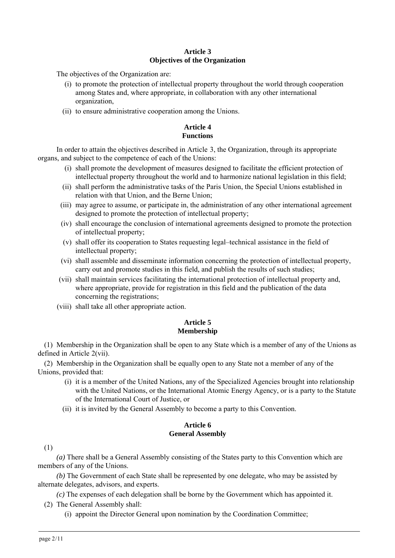### **Article 3 Objectives of the Organization**

The objectives of the Organization are:

- (i) to promote the protection of intellectual property throughout the world through cooperation among States and, where appropriate, in collaboration with any other international organization,
- (ii) to ensure administrative cooperation among the Unions.

# **Article 4 Functions**

In order to attain the objectives described in Article 3, the Organization, through its appropriate organs, and subject to the competence of each of the Unions:

- (i) shall promote the development of measures designed to facilitate the efficient protection of intellectual property throughout the world and to harmonize national legislation in this field;
- (ii) shall perform the administrative tasks of the Paris Union, the Special Unions established in relation with that Union, and the Berne Union;
- (iii) may agree to assume, or participate in, the administration of any other international agreement designed to promote the protection of intellectual property;
- (iv) shall encourage the conclusion of international agreements designed to promote the protection of intellectual property;
- (v) shall offer its cooperation to States requesting legal–technical assistance in the field of intellectual property;
- (vi) shall assemble and disseminate information concerning the protection of intellectual property, carry out and promote studies in this field, and publish the results of such studies;
- (vii) shall maintain services facilitating the international protection of intellectual property and, where appropriate, provide for registration in this field and the publication of the data concerning the registrations;
- (viii) shall take all other appropriate action.

# **Article 5 Membership**

(1) Membership in the Organization shall be open to any State which is a member of any of the Unions as defined in Article 2(vii).

(2) Membership in the Organization shall be equally open to any State not a member of any of the Unions, provided that:

- (i) it is a member of the United Nations, any of the Specialized Agencies brought into relationship with the United Nations, or the International Atomic Energy Agency, or is a party to the Statute of the International Court of Justice, or
- (ii) it is invited by the General Assembly to become a party to this Convention.

# **Article 6 General Assembly**

### (1)

*(a)* There shall be a General Assembly consisting of the States party to this Convention which are members of any of the Unions.

*(b)* The Government of each State shall be represented by one delegate, who may be assisted by alternate delegates, advisors, and experts.

*(c)* The expenses of each delegation shall be borne by the Government which has appointed it.

(2) The General Assembly shall:

(i) appoint the Director General upon nomination by the Coordination Committee;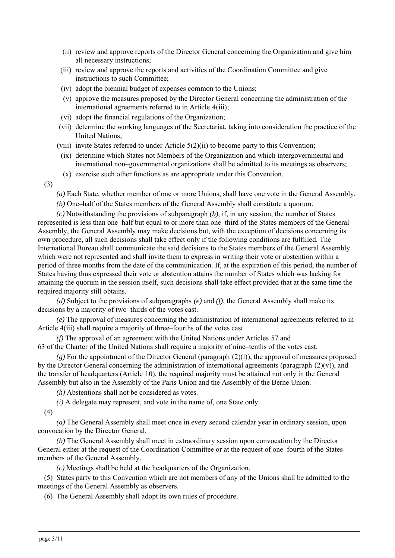- (ii) review and approve reports of the Director General concerning the Organization and give him all necessary instructions;
- (iii) review and approve the reports and activities of the Coordination Committee and give instructions to such Committee;
- (iv) adopt the biennial budget of expenses common to the Unions;
- (v) approve the measures proposed by the Director General concerning the administration of the international agreements referred to in Article 4(iii);
- (vi) adopt the financial regulations of the Organization;
- (vii) determine the working languages of the Secretariat, taking into consideration the practice of the United Nations;
- (viii) invite States referred to under Article 5(2)(ii) to become party to this Convention;
- (ix) determine which States not Members of the Organization and which intergovernmental and international non–governmental organizations shall be admitted to its meetings as observers;
- (x) exercise such other functions as are appropriate under this Convention.
- (3)

*(a)* Each State, whether member of one or more Unions, shall have one vote in the General Assembly.

*(b)* One–half of the States members of the General Assembly shall constitute a quorum.

*(c)* Notwithstanding the provisions of subparagraph *(b)*, if, in any session, the number of States represented is less than one–half but equal to or more than one–third of the States members of the General Assembly, the General Assembly may make decisions but, with the exception of decisions concerning its own procedure, all such decisions shall take effect only if the following conditions are fulfilled. The International Bureau shall communicate the said decisions to the States members of the General Assembly which were not represented and shall invite them to express in writing their vote or abstention within a period of three months from the date of the communication. If, at the expiration of this period, the number of States having thus expressed their vote or abstention attains the number of States which was lacking for attaining the quorum in the session itself, such decisions shall take effect provided that at the same time the required majority still obtains.

*(d)* Subject to the provisions of subparagraphs *(e)* and *(f)*, the General Assembly shall make its decisions by a majority of two–thirds of the votes cast.

*(e)* The approval of measures concerning the administration of international agreements referred to in Article 4(iii) shall require a majority of three–fourths of the votes cast.

*(f)* The approval of an agreement with the United Nations under Articles 57 and 63 of the Charter of the United Nations shall require a majority of nine–tenths of the votes cast.

 $(g)$  For the appointment of the Director General (paragraph  $(2)(i)$ ), the approval of measures proposed by the Director General concerning the administration of international agreements (paragraph (2)(v)), and the transfer of headquarters (Article 10), the required majority must be attained not only in the General Assembly but also in the Assembly of the Paris Union and the Assembly of the Berne Union.

*(h)* Abstentions shall not be considered as votes.

*(i)* A delegate may represent, and vote in the name of, one State only.

(4)

*(a)* The General Assembly shall meet once in every second calendar year in ordinary session, upon convocation by the Director General.

*(b)* The General Assembly shall meet in extraordinary session upon convocation by the Director General either at the request of the Coordination Committee or at the request of one–fourth of the States members of the General Assembly.

*(c)* Meetings shall be held at the headquarters of the Organization.

(5) States party to this Convention which are not members of any of the Unions shall be admitted to the meetings of the General Assembly as observers.

(6) The General Assembly shall adopt its own rules of procedure.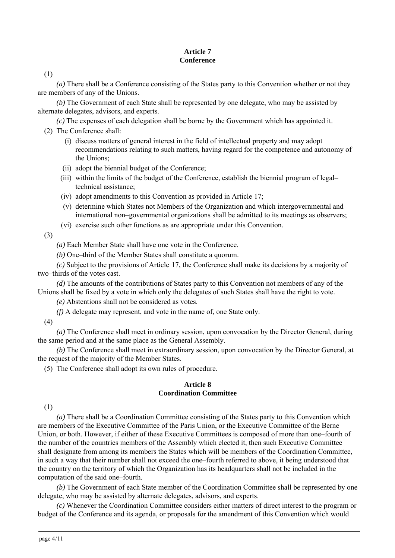# **Article 7 Conference**

(1)

*(a)* There shall be a Conference consisting of the States party to this Convention whether or not they are members of any of the Unions.

*(b)* The Government of each State shall be represented by one delegate, who may be assisted by alternate delegates, advisors, and experts.

*(c)* The expenses of each delegation shall be borne by the Government which has appointed it.

- (2) The Conference shall:
	- (i) discuss matters of general interest in the field of intellectual property and may adopt recommendations relating to such matters, having regard for the competence and autonomy of the Unions;
	- (ii) adopt the biennial budget of the Conference;
	- (iii) within the limits of the budget of the Conference, establish the biennial program of legal– technical assistance;
	- (iv) adopt amendments to this Convention as provided in Article 17;
	- (v) determine which States not Members of the Organization and which intergovernmental and international non–governmental organizations shall be admitted to its meetings as observers;
	- (vi) exercise such other functions as are appropriate under this Convention.

(3)

*(a)* Each Member State shall have one vote in the Conference.

*(b)* One–third of the Member States shall constitute a quorum.

*(c)* Subject to the provisions of Article 17, the Conference shall make its decisions by a majority of two–thirds of the votes cast.

*(d)* The amounts of the contributions of States party to this Convention not members of any of the Unions shall be fixed by a vote in which only the delegates of such States shall have the right to vote.

*(e)* Abstentions shall not be considered as votes.

*(f)* A delegate may represent, and vote in the name of, one State only.

(4)

*(a)* The Conference shall meet in ordinary session, upon convocation by the Director General, during the same period and at the same place as the General Assembly.

*(b)* The Conference shall meet in extraordinary session, upon convocation by the Director General, at the request of the majority of the Member States.

(5) The Conference shall adopt its own rules of procedure.

# **Article 8 Coordination Committee**

(1)

*(a)* There shall be a Coordination Committee consisting of the States party to this Convention which are members of the Executive Committee of the Paris Union, or the Executive Committee of the Berne Union, or both. However, if either of these Executive Committees is composed of more than one–fourth of the number of the countries members of the Assembly which elected it, then such Executive Committee shall designate from among its members the States which will be members of the Coordination Committee, in such a way that their number shall not exceed the one–fourth referred to above, it being understood that the country on the territory of which the Organization has its headquarters shall not be included in the computation of the said one–fourth.

*(b)* The Government of each State member of the Coordination Committee shall be represented by one delegate, who may be assisted by alternate delegates, advisors, and experts.

*(c)* Whenever the Coordination Committee considers either matters of direct interest to the program or budget of the Conference and its agenda, or proposals for the amendment of this Convention which would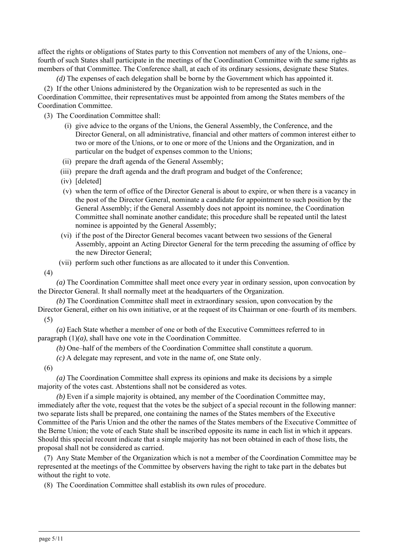affect the rights or obligations of States party to this Convention not members of any of the Unions, one– fourth of such States shall participate in the meetings of the Coordination Committee with the same rights as members of that Committee. The Conference shall, at each of its ordinary sessions, designate these States.

*(d)* The expenses of each delegation shall be borne by the Government which has appointed it.

(2) If the other Unions administered by the Organization wish to be represented as such in the Coordination Committee, their representatives must be appointed from among the States members of the Coordination Committee.

(3) The Coordination Committee shall:

- (i) give advice to the organs of the Unions, the General Assembly, the Conference, and the Director General, on all administrative, financial and other matters of common interest either to two or more of the Unions, or to one or more of the Unions and the Organization, and in particular on the budget of expenses common to the Unions;
- (ii) prepare the draft agenda of the General Assembly;
- (iii) prepare the draft agenda and the draft program and budget of the Conference;
- (iv) [deleted]
- (v) when the term of office of the Director General is about to expire, or when there is a vacancy in the post of the Director General, nominate a candidate for appointment to such position by the General Assembly; if the General Assembly does not appoint its nominee, the Coordination Committee shall nominate another candidate; this procedure shall be repeated until the latest nominee is appointed by the General Assembly;
- (vi) if the post of the Director General becomes vacant between two sessions of the General Assembly, appoint an Acting Director General for the term preceding the assuming of office by the new Director General;
- (vii) perform such other functions as are allocated to it under this Convention.

(4)

*(a)* The Coordination Committee shall meet once every year in ordinary session, upon convocation by the Director General. It shall normally meet at the headquarters of the Organization.

*(b)* The Coordination Committee shall meet in extraordinary session, upon convocation by the Director General, either on his own initiative, or at the request of its Chairman or one–fourth of its members. (5)

*(a)* Each State whether a member of one or both of the Executive Committees referred to in paragraph  $(1)(a)$ , shall have one vote in the Coordination Committee.

*(b)* One–half of the members of the Coordination Committee shall constitute a quorum.

*(c)* A delegate may represent, and vote in the name of, one State only.

 $(6)$ 

*(a)* The Coordination Committee shall express its opinions and make its decisions by a simple majority of the votes cast. Abstentions shall not be considered as votes.

*(b)* Even if a simple majority is obtained, any member of the Coordination Committee may, immediately after the vote, request that the votes be the subject of a special recount in the following manner: two separate lists shall be prepared, one containing the names of the States members of the Executive Committee of the Paris Union and the other the names of the States members of the Executive Committee of the Berne Union; the vote of each State shall be inscribed opposite its name in each list in which it appears. Should this special recount indicate that a simple majority has not been obtained in each of those lists, the proposal shall not be considered as carried.

(7) Any State Member of the Organization which is not a member of the Coordination Committee may be represented at the meetings of the Committee by observers having the right to take part in the debates but without the right to vote.

(8) The Coordination Committee shall establish its own rules of procedure.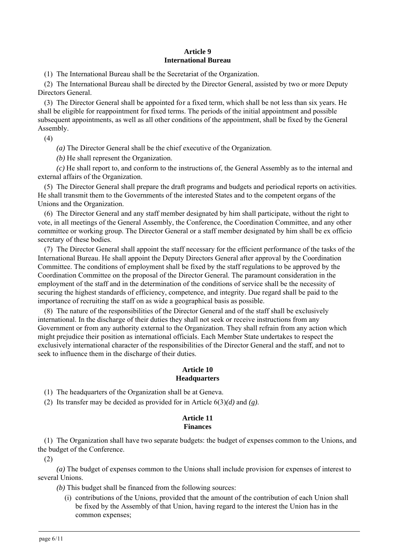# **Article 9 International Bureau**

(1) The International Bureau shall be the Secretariat of the Organization.

(2) The International Bureau shall be directed by the Director General, assisted by two or more Deputy Directors General.

(3) The Director General shall be appointed for a fixed term, which shall be not less than six years. He shall be eligible for reappointment for fixed terms. The periods of the initial appointment and possible subsequent appointments, as well as all other conditions of the appointment, shall be fixed by the General Assembly.

(4)

*(a)* The Director General shall be the chief executive of the Organization.

*(b)* He shall represent the Organization.

*(c)* He shall report to, and conform to the instructions of, the General Assembly as to the internal and external affairs of the Organization.

(5) The Director General shall prepare the draft programs and budgets and periodical reports on activities. He shall transmit them to the Governments of the interested States and to the competent organs of the Unions and the Organization.

(6) The Director General and any staff member designated by him shall participate, without the right to vote, in all meetings of the General Assembly, the Conference, the Coordination Committee, and any other committee or working group. The Director General or a staff member designated by him shall be ex officio secretary of these bodies.

(7) The Director General shall appoint the staff necessary for the efficient performance of the tasks of the International Bureau. He shall appoint the Deputy Directors General after approval by the Coordination Committee. The conditions of employment shall be fixed by the staff regulations to be approved by the Coordination Committee on the proposal of the Director General. The paramount consideration in the employment of the staff and in the determination of the conditions of service shall be the necessity of securing the highest standards of efficiency, competence, and integrity. Due regard shall be paid to the importance of recruiting the staff on as wide a geographical basis as possible.

(8) The nature of the responsibilities of the Director General and of the staff shall be exclusively international. In the discharge of their duties they shall not seek or receive instructions from any Government or from any authority external to the Organization. They shall refrain from any action which might prejudice their position as international officials. Each Member State undertakes to respect the exclusively international character of the responsibilities of the Director General and the staff, and not to seek to influence them in the discharge of their duties.

#### **Article 10 Headquarters**

(1) The headquarters of the Organization shall be at Geneva.

(2) Its transfer may be decided as provided for in Article 6(3)*(d)* and *(g)*.

# **Article 11 Finances**

(1) The Organization shall have two separate budgets: the budget of expenses common to the Unions, and the budget of the Conference.

(2)

*(a)* The budget of expenses common to the Unions shall include provision for expenses of interest to several Unions.

*(b)* This budget shall be financed from the following sources:

(i) contributions of the Unions, provided that the amount of the contribution of each Union shall be fixed by the Assembly of that Union, having regard to the interest the Union has in the common expenses;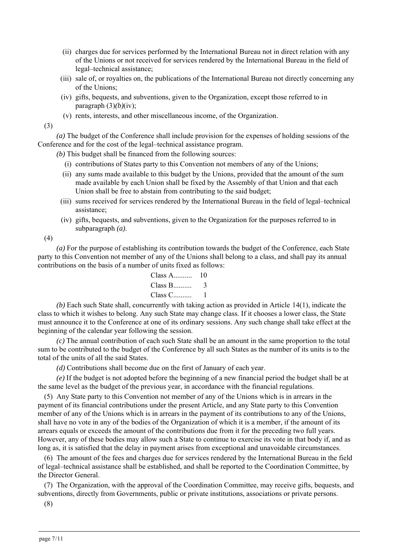- (ii) charges due for services performed by the International Bureau not in direct relation with any of the Unions or not received for services rendered by the International Bureau in the field of legal–technical assistance;
- (iii) sale of, or royalties on, the publications of the International Bureau not directly concerning any of the Unions;
- (iv) gifts, bequests, and subventions, given to the Organization, except those referred to in paragraph  $(3)(b)(iv)$ ;
- (v) rents, interests, and other miscellaneous income, of the Organization.

(3)

*(a)* The budget of the Conference shall include provision for the expenses of holding sessions of the Conference and for the cost of the legal–technical assistance program.

*(b)* This budget shall be financed from the following sources:

- (i) contributions of States party to this Convention not members of any of the Unions;
- (ii) any sums made available to this budget by the Unions, provided that the amount of the sum made available by each Union shall be fixed by the Assembly of that Union and that each Union shall be free to abstain from contributing to the said budget;
- (iii) sums received for services rendered by the International Bureau in the field of legal–technical assistance;
- (iv) gifts, bequests, and subventions, given to the Organization for the purposes referred to in subparagraph *(a)*.

 $(4)$ 

*(a)* For the purpose of establishing its contribution towards the budget of the Conference, each State party to this Convention not member of any of the Unions shall belong to a class, and shall pay its annual contributions on the basis of a number of units fixed as follows:

| Class A | 10 |
|---------|----|
| Class B | 3  |
|         |    |

*(b)* Each such State shall, concurrently with taking action as provided in Article 14(1), indicate the class to which it wishes to belong. Any such State may change class. If it chooses a lower class, the State must announce it to the Conference at one of its ordinary sessions. Any such change shall take effect at the beginning of the calendar year following the session.

*(c)* The annual contribution of each such State shall be an amount in the same proportion to the total sum to be contributed to the budget of the Conference by all such States as the number of its units is to the total of the units of all the said States.

*(d)* Contributions shall become due on the first of January of each year.

*(e)* If the budget is not adopted before the beginning of a new financial period the budget shall be at the same level as the budget of the previous year, in accordance with the financial regulations.

(5) Any State party to this Convention not member of any of the Unions which is in arrears in the payment of its financial contributions under the present Article, and any State party to this Convention member of any of the Unions which is in arrears in the payment of its contributions to any of the Unions, shall have no vote in any of the bodies of the Organization of which it is a member, if the amount of its arrears equals or exceeds the amount of the contributions due from it for the preceding two full years. However, any of these bodies may allow such a State to continue to exercise its vote in that body if, and as long as, it is satisfied that the delay in payment arises from exceptional and unavoidable circumstances.

(6) The amount of the fees and charges due for services rendered by the International Bureau in the field of legal–technical assistance shall be established, and shall be reported to the Coordination Committee, by the Director General.

(7) The Organization, with the approval of the Coordination Committee, may receive gifts, bequests, and subventions, directly from Governments, public or private institutions, associations or private persons.

(8)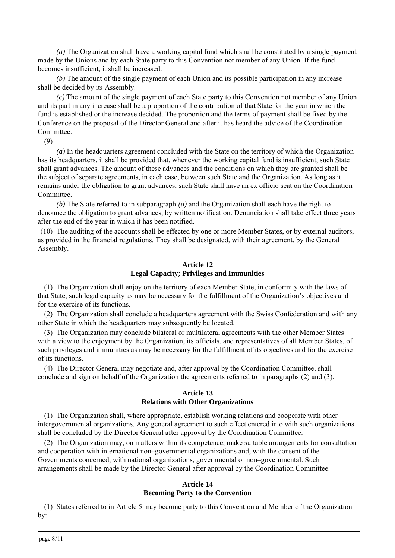*(a)* The Organization shall have a working capital fund which shall be constituted by a single payment made by the Unions and by each State party to this Convention not member of any Union. If the fund becomes insufficient, it shall be increased.

*(b)* The amount of the single payment of each Union and its possible participation in any increase shall be decided by its Assembly.

*(c)* The amount of the single payment of each State party to this Convention not member of any Union and its part in any increase shall be a proportion of the contribution of that State for the year in which the fund is established or the increase decided. The proportion and the terms of payment shall be fixed by the Conference on the proposal of the Director General and after it has heard the advice of the Coordination Committee.

(9)

*(a)* In the headquarters agreement concluded with the State on the territory of which the Organization has its headquarters, it shall be provided that, whenever the working capital fund is insufficient, such State shall grant advances. The amount of these advances and the conditions on which they are granted shall be the subject of separate agreements, in each case, between such State and the Organization. As long as it remains under the obligation to grant advances, such State shall have an ex officio seat on the Coordination Committee.

*(b)* The State referred to in subparagraph *(a)* and the Organization shall each have the right to denounce the obligation to grant advances, by written notification. Denunciation shall take effect three years after the end of the year in which it has been notified.

(10) The auditing of the accounts shall be effected by one or more Member States, or by external auditors, as provided in the financial regulations. They shall be designated, with their agreement, by the General Assembly.

#### **Article 12 Legal Capacity; Privileges and Immunities**

(1) The Organization shall enjoy on the territory of each Member State, in conformity with the laws of that State, such legal capacity as may be necessary for the fulfillment of the Organization's objectives and for the exercise of its functions.

(2) The Organization shall conclude a headquarters agreement with the Swiss Confederation and with any other State in which the headquarters may subsequently be located.

(3) The Organization may conclude bilateral or multilateral agreements with the other Member States with a view to the enjoyment by the Organization, its officials, and representatives of all Member States, of such privileges and immunities as may be necessary for the fulfillment of its objectives and for the exercise of its functions.

(4) The Director General may negotiate and, after approval by the Coordination Committee, shall conclude and sign on behalf of the Organization the agreements referred to in paragraphs (2) and (3).

#### **Article 13 Relations with Other Organizations**

(1) The Organization shall, where appropriate, establish working relations and cooperate with other intergovernmental organizations. Any general agreement to such effect entered into with such organizations shall be concluded by the Director General after approval by the Coordination Committee.

(2) The Organization may, on matters within its competence, make suitable arrangements for consultation and cooperation with international non–governmental organizations and, with the consent of the Governments concerned, with national organizations, governmental or non–governmental. Such arrangements shall be made by the Director General after approval by the Coordination Committee.

#### **Article 14**

#### **Becoming Party to the Convention**

(1) States referred to in Article 5 may become party to this Convention and Member of the Organization by: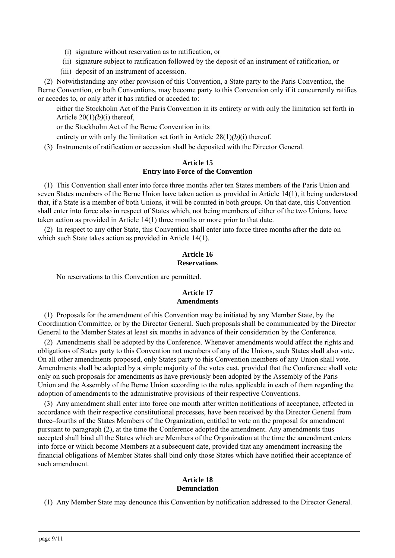- (i) signature without reservation as to ratification, or
- (ii) signature subject to ratification followed by the deposit of an instrument of ratification, or
- (iii) deposit of an instrument of accession.

(2) Notwithstanding any other provision of this Convention, a State party to the Paris Convention, the Berne Convention, or both Conventions, may become party to this Convention only if it concurrently ratifies or accedes to, or only after it has ratified or acceded to:

either the Stockholm Act of the Paris Convention in its entirety or with only the limitation set forth in Article 20(1)*(b)*(i) thereof,

or the Stockholm Act of the Berne Convention in its

entirety or with only the limitation set forth in Article 28(1)*(b)*(i) thereof.

(3) Instruments of ratification or accession shall be deposited with the Director General.

### **Article 15 Entry into Force of the Convention**

(1) This Convention shall enter into force three months after ten States members of the Paris Union and seven States members of the Berne Union have taken action as provided in Article 14(1), it being understood that, if a State is a member of both Unions, it will be counted in both groups. On that date, this Convention shall enter into force also in respect of States which, not being members of either of the two Unions, have taken action as provided in Article 14(1) three months or more prior to that date.

(2) In respect to any other State, this Convention shall enter into force three months after the date on which such State takes action as provided in Article 14(1).

#### **Article 16 Reservations**

No reservations to this Convention are permitted.

#### **Article 17 Amendments**

(1) Proposals for the amendment of this Convention may be initiated by any Member State, by the Coordination Committee, or by the Director General. Such proposals shall be communicated by the Director General to the Member States at least six months in advance of their consideration by the Conference.

(2) Amendments shall be adopted by the Conference. Whenever amendments would affect the rights and obligations of States party to this Convention not members of any of the Unions, such States shall also vote. On all other amendments proposed, only States party to this Convention members of any Union shall vote. Amendments shall be adopted by a simple majority of the votes cast, provided that the Conference shall vote only on such proposals for amendments as have previously been adopted by the Assembly of the Paris Union and the Assembly of the Berne Union according to the rules applicable in each of them regarding the adoption of amendments to the administrative provisions of their respective Conventions.

(3) Any amendment shall enter into force one month after written notifications of acceptance, effected in accordance with their respective constitutional processes, have been received by the Director General from three–fourths of the States Members of the Organization, entitled to vote on the proposal for amendment pursuant to paragraph (2), at the time the Conference adopted the amendment. Any amendments thus accepted shall bind all the States which are Members of the Organization at the time the amendment enters into force or which become Members at a subsequent date, provided that any amendment increasing the financial obligations of Member States shall bind only those States which have notified their acceptance of such amendment.

#### **Article 18 Denunciation**

(1) Any Member State may denounce this Convention by notification addressed to the Director General.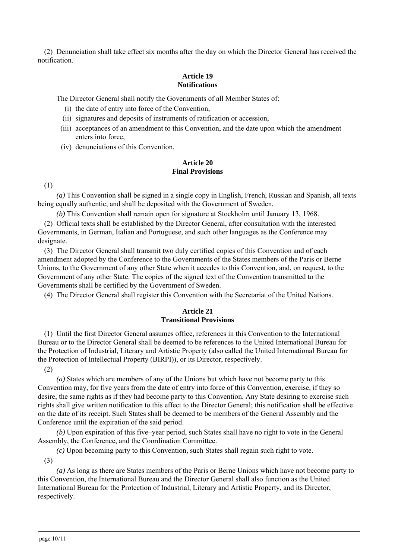(2) Denunciation shall take effect six months after the day on which the Director General has received the notification.

# **Article 19 Notifications**

The Director General shall notify the Governments of all Member States of:

- (i) the date of entry into force of the Convention,
- (ii) signatures and deposits of instruments of ratification or accession,
- (iii) acceptances of an amendment to this Convention, and the date upon which the amendment enters into force,
- (iv) denunciations of this Convention.

# **Article 20 Final Provisions**

(1)

*(a)* This Convention shall be signed in a single copy in English, French, Russian and Spanish, all texts being equally authentic, and shall be deposited with the Government of Sweden.

*(b)* This Convention shall remain open for signature at Stockholm until January 13, 1968.

(2) Official texts shall be established by the Director General, after consultation with the interested Governments, in German, Italian and Portuguese, and such other languages as the Conference may designate.

(3) The Director General shall transmit two duly certified copies of this Convention and of each amendment adopted by the Conference to the Governments of the States members of the Paris or Berne Unions, to the Government of any other State when it accedes to this Convention, and, on request, to the Government of any other State. The copies of the signed text of the Convention transmitted to the Governments shall be certified by the Government of Sweden.

(4) The Director General shall register this Convention with the Secretariat of the United Nations.

# **Article 21 Transitional Provisions**

(1) Until the first Director General assumes office, references in this Convention to the International Bureau or to the Director General shall be deemed to be references to the United International Bureau for the Protection of Industrial, Literary and Artistic Property (also called the United International Bureau for the Protection of Intellectual Property (BIRPI)), or its Director, respectively.

(2)

*(a)* States which are members of any of the Unions but which have not become party to this Convention may, for five years from the date of entry into force of this Convention, exercise, if they so desire, the same rights as if they had become party to this Convention. Any State desiring to exercise such rights shall give written notification to this effect to the Director General; this notification shall be effective on the date of its receipt. Such States shall be deemed to be members of the General Assembly and the Conference until the expiration of the said period.

*(b)* Upon expiration of this five–year period, such States shall have no right to vote in the General Assembly, the Conference, and the Coordination Committee.

*(c)* Upon becoming party to this Convention, such States shall regain such right to vote.

(3)

*(a)* As long as there are States members of the Paris or Berne Unions which have not become party to this Convention, the International Bureau and the Director General shall also function as the United International Bureau for the Protection of Industrial, Literary and Artistic Property, and its Director, respectively.